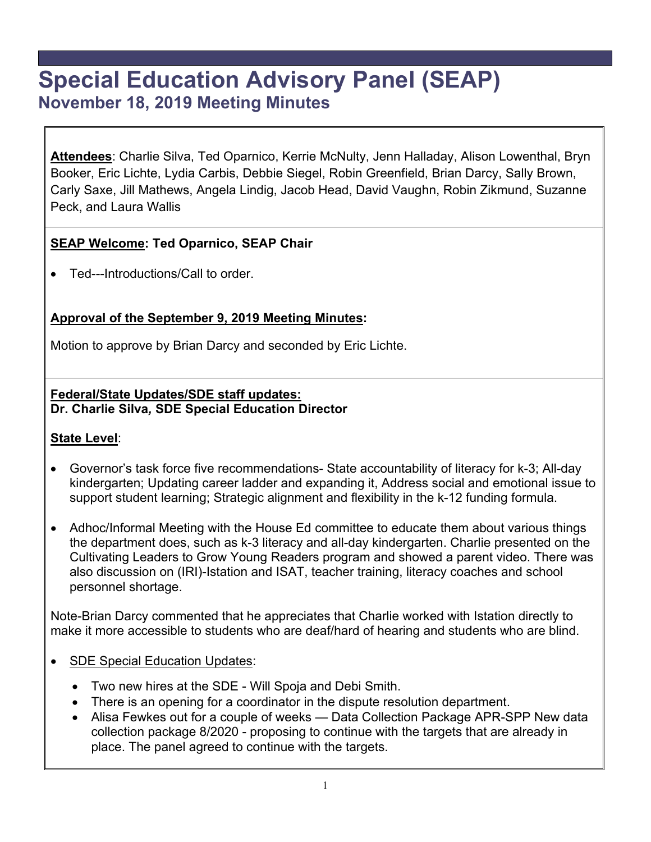# **Special Education Advisory Panel (SEAP) November 18, 2019 Meeting Minutes**

**Attendees**: Charlie Silva, Ted Oparnico, Kerrie McNulty, Jenn Halladay, Alison Lowenthal, Bryn Booker, Eric Lichte, Lydia Carbis, Debbie Siegel, Robin Greenfield, Brian Darcy, Sally Brown, Carly Saxe, Jill Mathews, Angela Lindig, Jacob Head, David Vaughn, Robin Zikmund, Suzanne Peck, and Laura Wallis

## **SEAP Welcome: Ted Oparnico, SEAP Chair**

Ted---Introductions/Call to order.

## **Approval of the September 9, 2019 Meeting Minutes:**

Motion to approve by Brian Darcy and seconded by Eric Lichte.

#### **Federal/State Updates/SDE staff updates: Dr. Charlie Silva***,* **SDE Special Education Director**

#### **State Level**:

- Governor's task force five recommendations- State accountability of literacy for k-3; All-day kindergarten; Updating career ladder and expanding it, Address social and emotional issue to support student learning; Strategic alignment and flexibility in the k-12 funding formula.
- Adhoc/Informal Meeting with the House Ed committee to educate them about various things the department does, such as k-3 literacy and all-day kindergarten. Charlie presented on the Cultivating Leaders to Grow Young Readers program and showed a parent video. There was also discussion on (IRI)-Istation and ISAT, teacher training, literacy coaches and school personnel shortage.

Note-Brian Darcy commented that he appreciates that Charlie worked with Istation directly to make it more accessible to students who are deaf/hard of hearing and students who are blind.

- SDE Special Education Updates:
	- Two new hires at the SDE Will Spoja and Debi Smith.
	- There is an opening for a coordinator in the dispute resolution department.
	- Alisa Fewkes out for a couple of weeks Data Collection Package APR-SPP New data collection package 8/2020 - proposing to continue with the targets that are already in place. The panel agreed to continue with the targets.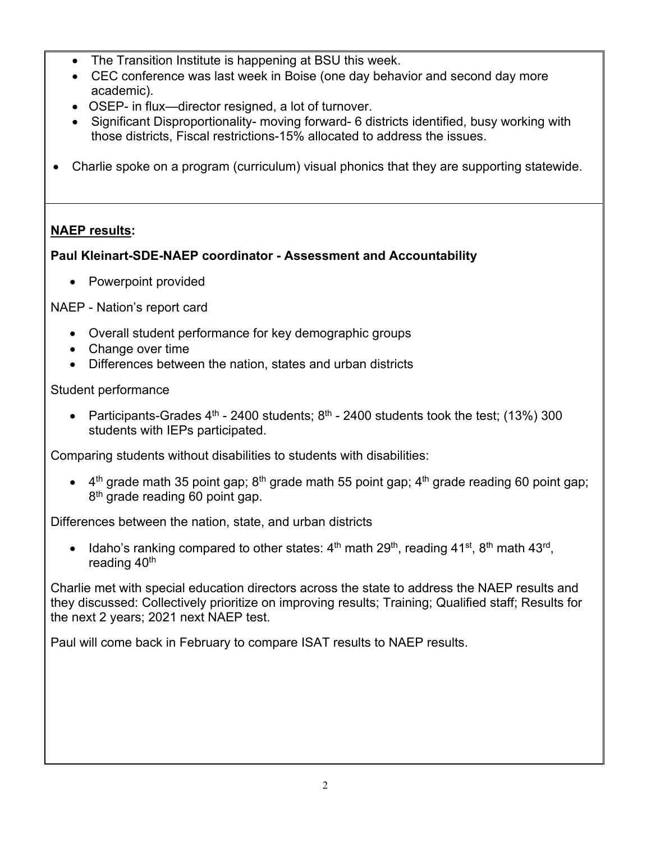- The Transition Institute is happening at BSU this week.
- CEC conference was last week in Boise (one day behavior and second day more academic).
- OSEP- in flux—director resigned, a lot of turnover.
- Significant Disproportionality- moving forward- 6 districts identified, busy working with those districts, Fiscal restrictions-15% allocated to address the issues.
- Charlie spoke on a program (curriculum) visual phonics that they are supporting statewide.

## **NAEP results:**

## **Paul Kleinart-SDE-NAEP coordinator - Assessment and Accountability**

• Powerpoint provided

NAEP - Nation's report card

- Overall student performance for key demographic groups
- Change over time
- Differences between the nation, states and urban districts

## Student performance

• Participants-Grades  $4^{\text{th}}$  - 2400 students;  $8^{\text{th}}$  - 2400 students took the test; (13%) 300 students with IEPs participated.

Comparing students without disabilities to students with disabilities:

 $\bullet$  4<sup>th</sup> grade math 35 point gap; 8<sup>th</sup> grade math 55 point gap; 4<sup>th</sup> grade reading 60 point gap; 8<sup>th</sup> grade reading 60 point gap.

Differences between the nation, state, and urban districts

• Idaho's ranking compared to other states:  $4<sup>th</sup>$  math  $29<sup>th</sup>$ , reading  $41<sup>st</sup>$ ,  $8<sup>th</sup>$  math  $43<sup>rd</sup>$ , reading 40<sup>th</sup>

Charlie met with special education directors across the state to address the NAEP results and they discussed: Collectively prioritize on improving results; Training; Qualified staff; Results for the next 2 years; 2021 next NAEP test.

Paul will come back in February to compare ISAT results to NAEP results.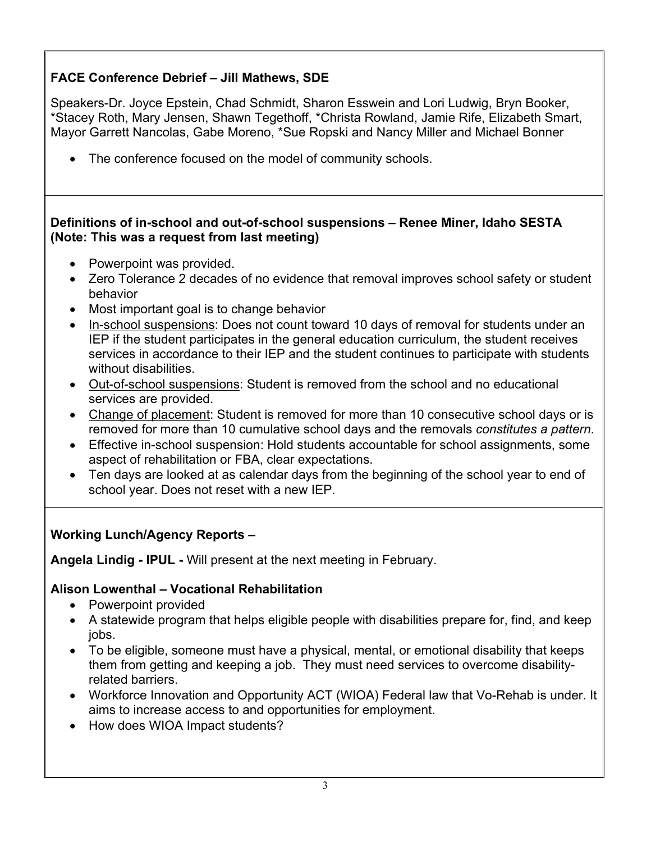## **FACE Conference Debrief – Jill Mathews, SDE**

Speakers-Dr. Joyce Epstein, Chad Schmidt, Sharon Esswein and Lori Ludwig, Bryn Booker, \*Stacey Roth, Mary Jensen, Shawn Tegethoff, \*Christa Rowland, Jamie Rife, Elizabeth Smart, Mayor Garrett Nancolas, Gabe Moreno, \*Sue Ropski and Nancy Miller and Michael Bonner

• The conference focused on the model of community schools.

#### **Definitions of in-school and out-of-school suspensions – Renee Miner, Idaho SESTA (Note: This was a request from last meeting)**

- Powerpoint was provided.
- Zero Tolerance 2 decades of no evidence that removal improves school safety or student behavior
- Most important goal is to change behavior
- In-school suspensions: Does not count toward 10 days of removal for students under an IEP if the student participates in the general education curriculum, the student receives services in accordance to their IEP and the student continues to participate with students without disabilities.
- Out-of-school suspensions: Student is removed from the school and no educational services are provided.
- Change of placement: Student is removed for more than 10 consecutive school days or is removed for more than 10 cumulative school days and the removals *constitutes a pattern*.
- Effective in-school suspension: Hold students accountable for school assignments, some aspect of rehabilitation or FBA, clear expectations.
- Ten days are looked at as calendar days from the beginning of the school year to end of school year. Does not reset with a new IEP.

## **Working Lunch/Agency Reports –**

**Angela Lindig - IPUL -** Will present at the next meeting in February.

## **Alison Lowenthal – Vocational Rehabilitation**

- Powerpoint provided
- A statewide program that helps eligible people with disabilities prepare for, find, and keep jobs.
- To be eligible, someone must have a physical, mental, or emotional disability that keeps them from getting and keeping a job. They must need services to overcome disabilityrelated barriers.
- Workforce Innovation and Opportunity ACT (WIOA) Federal law that Vo-Rehab is under. It aims to increase access to and opportunities for employment.
- How does WIOA Impact students?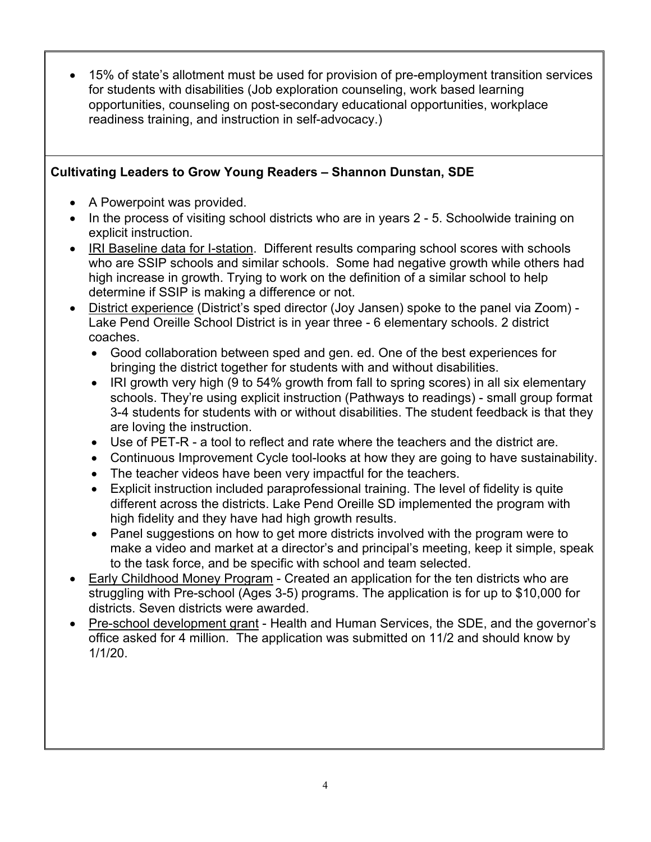15% of state's allotment must be used for provision of pre-employment transition services for students with disabilities (Job exploration counseling, work based learning opportunities, counseling on post-secondary educational opportunities, workplace readiness training, and instruction in self-advocacy.)

## **Cultivating Leaders to Grow Young Readers – Shannon Dunstan, SDE**

- A Powerpoint was provided.
- In the process of visiting school districts who are in years 2 5. Schoolwide training on explicit instruction.
- IRI Baseline data for I-station. Different results comparing school scores with schools who are SSIP schools and similar schools. Some had negative growth while others had high increase in growth. Trying to work on the definition of a similar school to help determine if SSIP is making a difference or not.
- District experience (District's sped director (Joy Jansen) spoke to the panel via Zoom) -Lake Pend Oreille School District is in year three - 6 elementary schools. 2 district coaches.
	- Good collaboration between sped and gen. ed. One of the best experiences for bringing the district together for students with and without disabilities.
	- IRI growth very high (9 to 54% growth from fall to spring scores) in all six elementary schools. They're using explicit instruction (Pathways to readings) - small group format 3-4 students for students with or without disabilities. The student feedback is that they are loving the instruction.
	- Use of PET-R a tool to reflect and rate where the teachers and the district are.
	- Continuous Improvement Cycle tool-looks at how they are going to have sustainability.
	- The teacher videos have been very impactful for the teachers.
	- Explicit instruction included paraprofessional training. The level of fidelity is quite different across the districts. Lake Pend Oreille SD implemented the program with high fidelity and they have had high growth results.
	- Panel suggestions on how to get more districts involved with the program were to make a video and market at a director's and principal's meeting, keep it simple, speak to the task force, and be specific with school and team selected.
- Early Childhood Money Program Created an application for the ten districts who are struggling with Pre-school (Ages 3-5) programs. The application is for up to \$10,000 for districts. Seven districts were awarded.
- Pre-school development grant Health and Human Services, the SDE, and the governor's office asked for 4 million. The application was submitted on 11/2 and should know by 1/1/20.